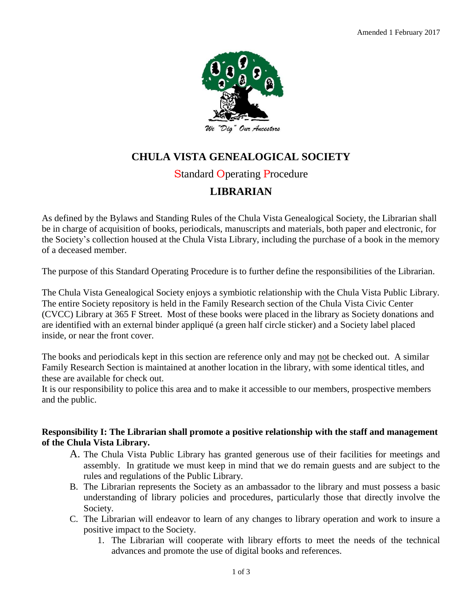

# **CHULA VISTA GENEALOGICAL SOCIETY**

# Standard Operating Procedure

# **LIBRARIAN**

As defined by the Bylaws and Standing Rules of the Chula Vista Genealogical Society, the Librarian shall be in charge of acquisition of books, periodicals, manuscripts and materials, both paper and electronic, for the Society's collection housed at the Chula Vista Library, including the purchase of a book in the memory of a deceased member.

The purpose of this Standard Operating Procedure is to further define the responsibilities of the Librarian.

The Chula Vista Genealogical Society enjoys a symbiotic relationship with the Chula Vista Public Library. The entire Society repository is held in the Family Research section of the Chula Vista Civic Center (CVCC) Library at 365 F Street. Most of these books were placed in the library as Society donations and are identified with an external binder appliqué (a green half circle sticker) and a Society label placed inside, or near the front cover.

The books and periodicals kept in this section are reference only and may not be checked out. A similar Family Research Section is maintained at another location in the library, with some identical titles, and these are available for check out.

It is our responsibility to police this area and to make it accessible to our members, prospective members and the public.

## **Responsibility I: The Librarian shall promote a positive relationship with the staff and management of the Chula Vista Library.**

- A. The Chula Vista Public Library has granted generous use of their facilities for meetings and assembly. In gratitude we must keep in mind that we do remain guests and are subject to the rules and regulations of the Public Library.
- B. The Librarian represents the Society as an ambassador to the library and must possess a basic understanding of library policies and procedures, particularly those that directly involve the Society.
- C. The Librarian will endeavor to learn of any changes to library operation and work to insure a positive impact to the Society.
	- 1. The Librarian will cooperate with library efforts to meet the needs of the technical advances and promote the use of digital books and references.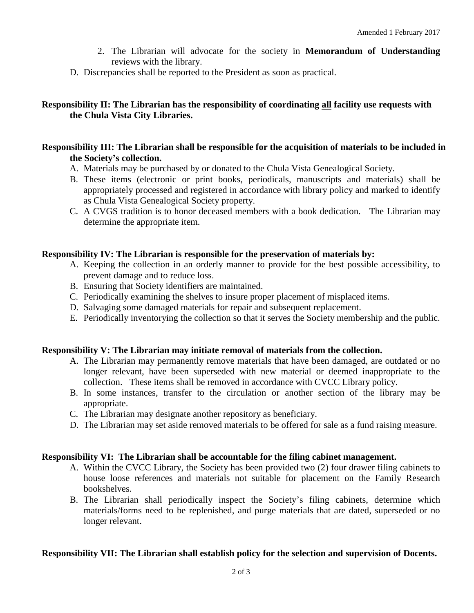- 2. The Librarian will advocate for the society in **Memorandum of Understanding** reviews with the library.
- D. Discrepancies shall be reported to the President as soon as practical.

## **Responsibility II: The Librarian has the responsibility of coordinating all facility use requests with the Chula Vista City Libraries.**

#### **Responsibility III: The Librarian shall be responsible for the acquisition of materials to be included in the Society's collection.**

- A. Materials may be purchased by or donated to the Chula Vista Genealogical Society.
- B. These items (electronic or print books, periodicals, manuscripts and materials) shall be appropriately processed and registered in accordance with library policy and marked to identify as Chula Vista Genealogical Society property.
- C. A CVGS tradition is to honor deceased members with a book dedication. The Librarian may determine the appropriate item.

#### **Responsibility IV: The Librarian is responsible for the preservation of materials by:**

- A. Keeping the collection in an orderly manner to provide for the best possible accessibility, to prevent damage and to reduce loss.
- B. Ensuring that Society identifiers are maintained.
- C. Periodically examining the shelves to insure proper placement of misplaced items.
- D. Salvaging some damaged materials for repair and subsequent replacement.
- E. Periodically inventorying the collection so that it serves the Society membership and the public.

#### **Responsibility V: The Librarian may initiate removal of materials from the collection.**

- A. The Librarian may permanently remove materials that have been damaged, are outdated or no longer relevant, have been superseded with new material or deemed inappropriate to the collection. These items shall be removed in accordance with CVCC Library policy.
- B. In some instances, transfer to the circulation or another section of the library may be appropriate.
- C. The Librarian may designate another repository as beneficiary.
- D. The Librarian may set aside removed materials to be offered for sale as a fund raising measure.

#### **Responsibility VI: The Librarian shall be accountable for the filing cabinet management.**

- A. Within the CVCC Library, the Society has been provided two (2) four drawer filing cabinets to house loose references and materials not suitable for placement on the Family Research bookshelves.
- B. The Librarian shall periodically inspect the Society's filing cabinets, determine which materials/forms need to be replenished, and purge materials that are dated, superseded or no longer relevant.

#### **Responsibility VII: The Librarian shall establish policy for the selection and supervision of Docents.**